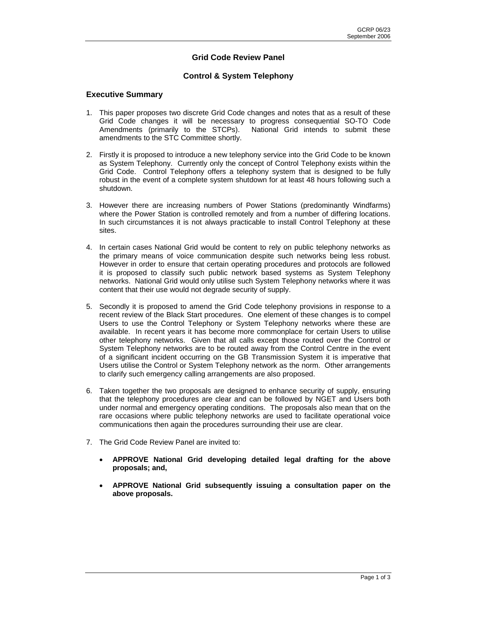# **Grid Code Review Panel**

## **Control & System Telephony**

### **Executive Summary**

- 1. This paper proposes two discrete Grid Code changes and notes that as a result of these Grid Code changes it will be necessary to progress consequential SO-TO Code Amendments (primarily to the STCPs). National Grid intends to submit these amendments to the STC Committee shortly.
- 2. Firstly it is proposed to introduce a new telephony service into the Grid Code to be known as System Telephony. Currently only the concept of Control Telephony exists within the Grid Code. Control Telephony offers a telephony system that is designed to be fully robust in the event of a complete system shutdown for at least 48 hours following such a shutdown.
- 3. However there are increasing numbers of Power Stations (predominantly Windfarms) where the Power Station is controlled remotely and from a number of differing locations. In such circumstances it is not always practicable to install Control Telephony at these sites.
- 4. In certain cases National Grid would be content to rely on public telephony networks as the primary means of voice communication despite such networks being less robust. However in order to ensure that certain operating procedures and protocols are followed it is proposed to classify such public network based systems as System Telephony networks. National Grid would only utilise such System Telephony networks where it was content that their use would not degrade security of supply.
- 5. Secondly it is proposed to amend the Grid Code telephony provisions in response to a recent review of the Black Start procedures. One element of these changes is to compel Users to use the Control Telephony or System Telephony networks where these are available. In recent years it has become more commonplace for certain Users to utilise other telephony networks. Given that all calls except those routed over the Control or System Telephony networks are to be routed away from the Control Centre in the event of a significant incident occurring on the GB Transmission System it is imperative that Users utilise the Control or System Telephony network as the norm. Other arrangements to clarify such emergency calling arrangements are also proposed.
- 6. Taken together the two proposals are designed to enhance security of supply, ensuring that the telephony procedures are clear and can be followed by NGET and Users both under normal and emergency operating conditions. The proposals also mean that on the rare occasions where public telephony networks are used to facilitate operational voice communications then again the procedures surrounding their use are clear.
- 7. The Grid Code Review Panel are invited to:
	- **APPROVE National Grid developing detailed legal drafting for the above proposals; and,**
	- **APPROVE National Grid subsequently issuing a consultation paper on the above proposals.**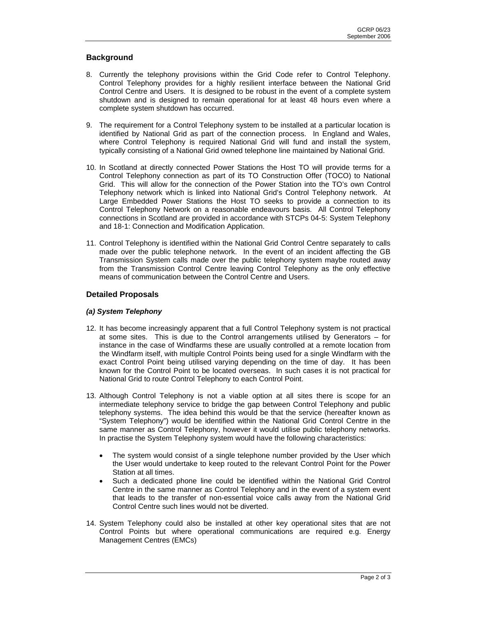# **Background**

- 8. Currently the telephony provisions within the Grid Code refer to Control Telephony. Control Telephony provides for a highly resilient interface between the National Grid Control Centre and Users. It is designed to be robust in the event of a complete system shutdown and is designed to remain operational for at least 48 hours even where a complete system shutdown has occurred.
- 9. The requirement for a Control Telephony system to be installed at a particular location is identified by National Grid as part of the connection process. In England and Wales, where Control Telephony is required National Grid will fund and install the system, typically consisting of a National Grid owned telephone line maintained by National Grid.
- 10. In Scotland at directly connected Power Stations the Host TO will provide terms for a Control Telephony connection as part of its TO Construction Offer (TOCO) to National Grid. This will allow for the connection of the Power Station into the TO's own Control Telephony network which is linked into National Grid's Control Telephony network. At Large Embedded Power Stations the Host TO seeks to provide a connection to its Control Telephony Network on a reasonable endeavours basis. All Control Telephony connections in Scotland are provided in accordance with STCPs 04-5: System Telephony and 18-1: Connection and Modification Application.
- 11. Control Telephony is identified within the National Grid Control Centre separately to calls made over the public telephone network. In the event of an incident affecting the GB Transmission System calls made over the public telephony system maybe routed away from the Transmission Control Centre leaving Control Telephony as the only effective means of communication between the Control Centre and Users.

## **Detailed Proposals**

#### *(a) System Telephony*

- 12. It has become increasingly apparent that a full Control Telephony system is not practical at some sites. This is due to the Control arrangements utilised by Generators – for instance in the case of Windfarms these are usually controlled at a remote location from the Windfarm itself, with multiple Control Points being used for a single Windfarm with the exact Control Point being utilised varying depending on the time of day. It has been known for the Control Point to be located overseas. In such cases it is not practical for National Grid to route Control Telephony to each Control Point.
- 13. Although Control Telephony is not a viable option at all sites there is scope for an intermediate telephony service to bridge the gap between Control Telephony and public telephony systems. The idea behind this would be that the service (hereafter known as "System Telephony") would be identified within the National Grid Control Centre in the same manner as Control Telephony, however it would utilise public telephony networks. In practise the System Telephony system would have the following characteristics:
	- The system would consist of a single telephone number provided by the User which the User would undertake to keep routed to the relevant Control Point for the Power Station at all times.
	- Such a dedicated phone line could be identified within the National Grid Control Centre in the same manner as Control Telephony and in the event of a system event that leads to the transfer of non-essential voice calls away from the National Grid Control Centre such lines would not be diverted.
- 14. System Telephony could also be installed at other key operational sites that are not Control Points but where operational communications are required e.g. Energy Management Centres (EMCs)